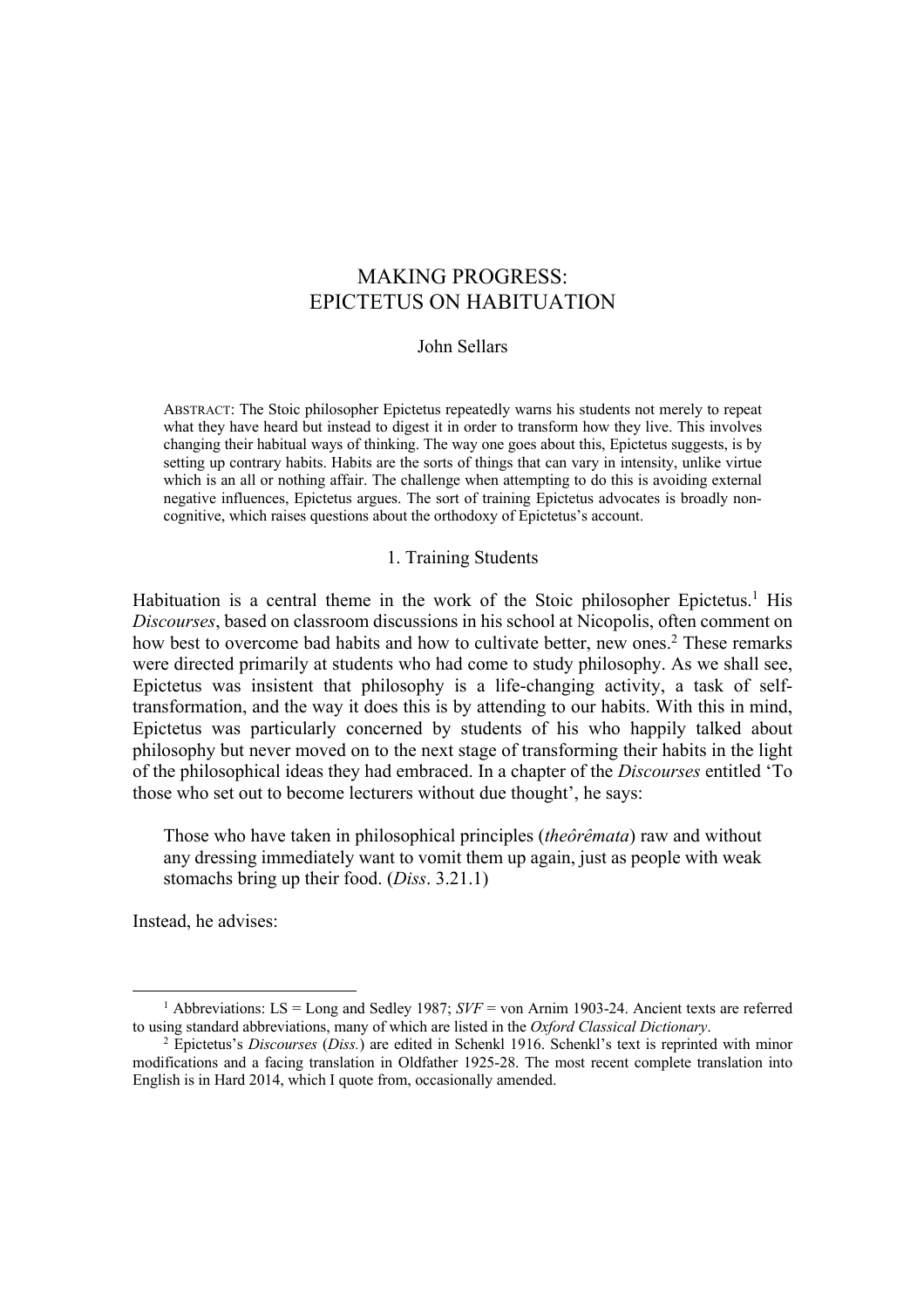#### John Sellars

ABSTRACT: The Stoic philosopher Epictetus repeatedly warns his students not merely to repeat what they have heard but instead to digest it in order to transform how they live. This involves changing their habitual ways of thinking. The way one goes about this, Epictetus suggests, is by setting up contrary habits. Habits are the sorts of things that can vary in intensity, unlike virtue which is an all or nothing affair. The challenge when attempting to do this is avoiding external negative influences, Epictetus argues. The sort of training Epictetus advocates is broadly noncognitive, which raises questions about the orthodoxy of Epictetus's account.

#### 1. Training Students

Habituation is a central theme in the work of the Stoic philosopher Epictetus.<sup>1</sup> His *Discourses*, based on classroom discussions in his school at Nicopolis, often comment on how best to overcome bad habits and how to cultivate better, new ones.<sup>2</sup> These remarks were directed primarily at students who had come to study philosophy. As we shall see, Epictetus was insistent that philosophy is a life-changing activity, a task of selftransformation, and the way it does this is by attending to our habits. With this in mind, Epictetus was particularly concerned by students of his who happily talked about philosophy but never moved on to the next stage of transforming their habits in the light of the philosophical ideas they had embraced. In a chapter of the *Discourses* entitled 'To those who set out to become lecturers without due thought', he says:

Those who have taken in philosophical principles (*theôrêmata*) raw and without any dressing immediately want to vomit them up again, just as people with weak stomachs bring up their food. (*Diss*. 3.21.1)

Instead, he advises:

<sup>&</sup>lt;sup>1</sup> Abbreviations: LS = Long and Sedley 1987;  $SVF =$  von Arnim 1903-24. Ancient texts are referred to using standard abbreviations, many of which are listed in the *Oxford Classical Dictionary*. 2 Epictetus's *Discourses* (*Diss.*) are edited in Schenkl 1916. Schenkl's text is reprinted with minor

modifications and a facing translation in Oldfather 1925-28. The most recent complete translation into English is in Hard 2014, which I quote from, occasionally amended.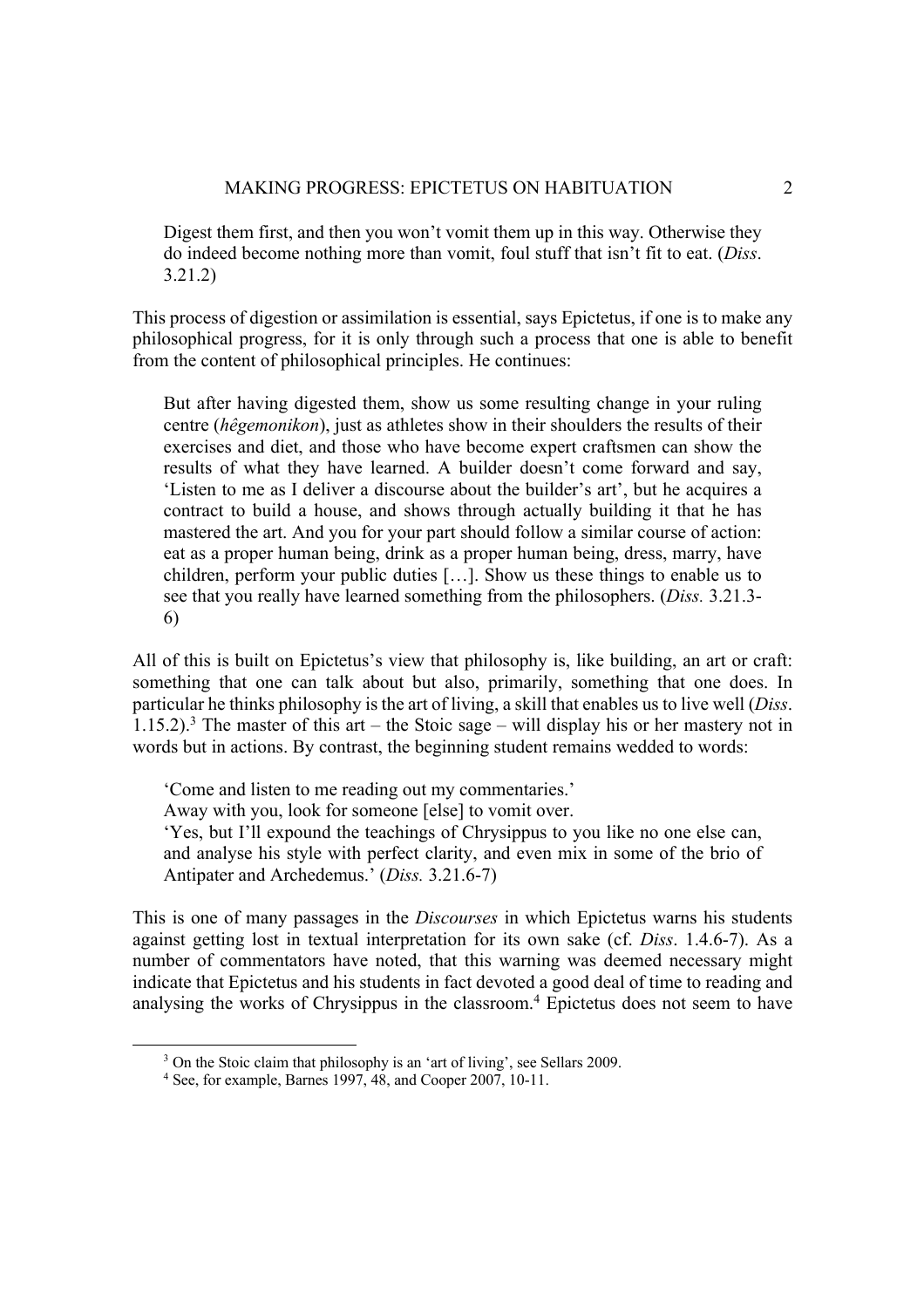Digest them first, and then you won't vomit them up in this way. Otherwise they do indeed become nothing more than vomit, foul stuff that isn't fit to eat. (*Diss*. 3.21.2)

This process of digestion or assimilation is essential, says Epictetus, if one is to make any philosophical progress, for it is only through such a process that one is able to benefit from the content of philosophical principles. He continues:

But after having digested them, show us some resulting change in your ruling centre (*hêgemonikon*), just as athletes show in their shoulders the results of their exercises and diet, and those who have become expert craftsmen can show the results of what they have learned. A builder doesn't come forward and say, 'Listen to me as I deliver a discourse about the builder's art', but he acquires a contract to build a house, and shows through actually building it that he has mastered the art. And you for your part should follow a similar course of action: eat as a proper human being, drink as a proper human being, dress, marry, have children, perform your public duties […]. Show us these things to enable us to see that you really have learned something from the philosophers. (*Diss.* 3.21.3- 6)

All of this is built on Epictetus's view that philosophy is, like building, an art or craft: something that one can talk about but also, primarily, something that one does. In particular he thinks philosophy is the art of living, a skill that enables us to live well (*Diss*. 1.15.2).<sup>3</sup> The master of this art – the Stoic sage – will display his or her mastery not in words but in actions. By contrast, the beginning student remains wedded to words:

'Come and listen to me reading out my commentaries.' Away with you, look for someone [else] to vomit over. 'Yes, but I'll expound the teachings of Chrysippus to you like no one else can, and analyse his style with perfect clarity, and even mix in some of the brio of Antipater and Archedemus.' (*Diss.* 3.21.6-7)

This is one of many passages in the *Discourses* in which Epictetus warns his students against getting lost in textual interpretation for its own sake (cf. *Diss*. 1.4.6-7). As a number of commentators have noted, that this warning was deemed necessary might indicate that Epictetus and his students in fact devoted a good deal of time to reading and analysing the works of Chrysippus in the classroom.<sup>4</sup> Epictetus does not seem to have

<sup>&</sup>lt;sup>3</sup> On the Stoic claim that philosophy is an 'art of living', see Sellars 2009.

 $4$  See, for example, Barnes 1997, 48, and Cooper 2007, 10-11.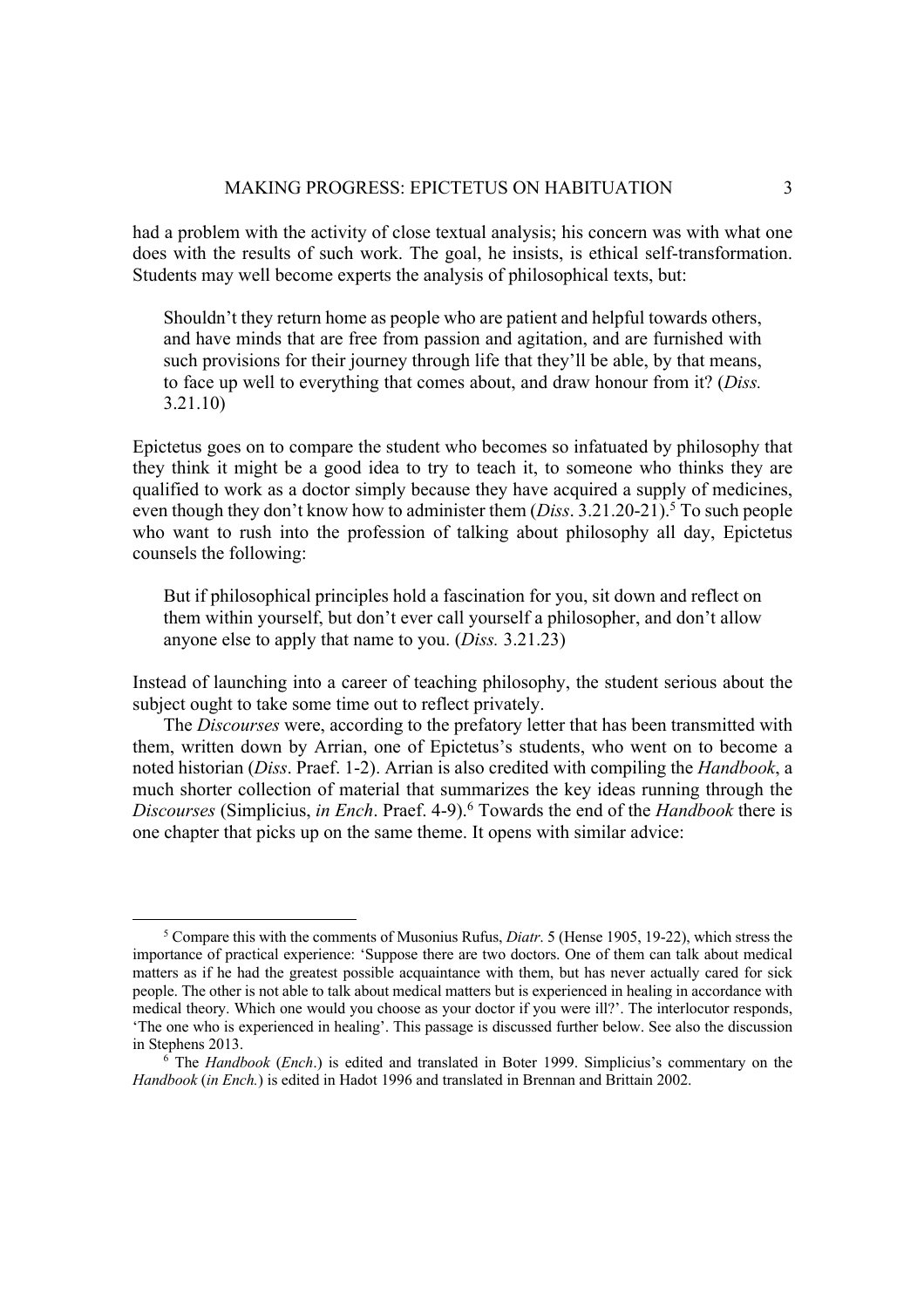had a problem with the activity of close textual analysis; his concern was with what one does with the results of such work. The goal, he insists, is ethical self-transformation. Students may well become experts the analysis of philosophical texts, but:

Shouldn't they return home as people who are patient and helpful towards others, and have minds that are free from passion and agitation, and are furnished with such provisions for their journey through life that they'll be able, by that means, to face up well to everything that comes about, and draw honour from it? (*Diss.*  3.21.10)

Epictetus goes on to compare the student who becomes so infatuated by philosophy that they think it might be a good idea to try to teach it, to someone who thinks they are qualified to work as a doctor simply because they have acquired a supply of medicines, even though they don't know how to administer them  $(Diss. 3.21.20-21)$ .<sup>5</sup> To such people who want to rush into the profession of talking about philosophy all day, Epictetus counsels the following:

But if philosophical principles hold a fascination for you, sit down and reflect on them within yourself, but don't ever call yourself a philosopher, and don't allow anyone else to apply that name to you. (*Diss.* 3.21.23)

Instead of launching into a career of teaching philosophy, the student serious about the subject ought to take some time out to reflect privately.

The *Discourses* were, according to the prefatory letter that has been transmitted with them, written down by Arrian, one of Epictetus's students, who went on to become a noted historian (*Diss*. Praef. 1-2). Arrian is also credited with compiling the *Handbook*, a much shorter collection of material that summarizes the key ideas running through the *Discourses* (Simplicius, *in Ench*. Praef. 4-9). <sup>6</sup> Towards the end of the *Handbook* there is one chapter that picks up on the same theme. It opens with similar advice:

<sup>5</sup> Compare this with the comments of Musonius Rufus, *Diatr*. 5 (Hense 1905, 19-22), which stress the importance of practical experience: 'Suppose there are two doctors. One of them can talk about medical matters as if he had the greatest possible acquaintance with them, but has never actually cared for sick people. The other is not able to talk about medical matters but is experienced in healing in accordance with medical theory. Which one would you choose as your doctor if you were ill?'. The interlocutor responds, 'The one who is experienced in healing'. This passage is discussed further below. See also the discussion in Stephens 2013. 6 The *Handbook* (*Ench*.) is edited and translated in Boter 1999. Simplicius's commentary on the

*Handbook* (*in Ench.*) is edited in Hadot 1996 and translated in Brennan and Brittain 2002.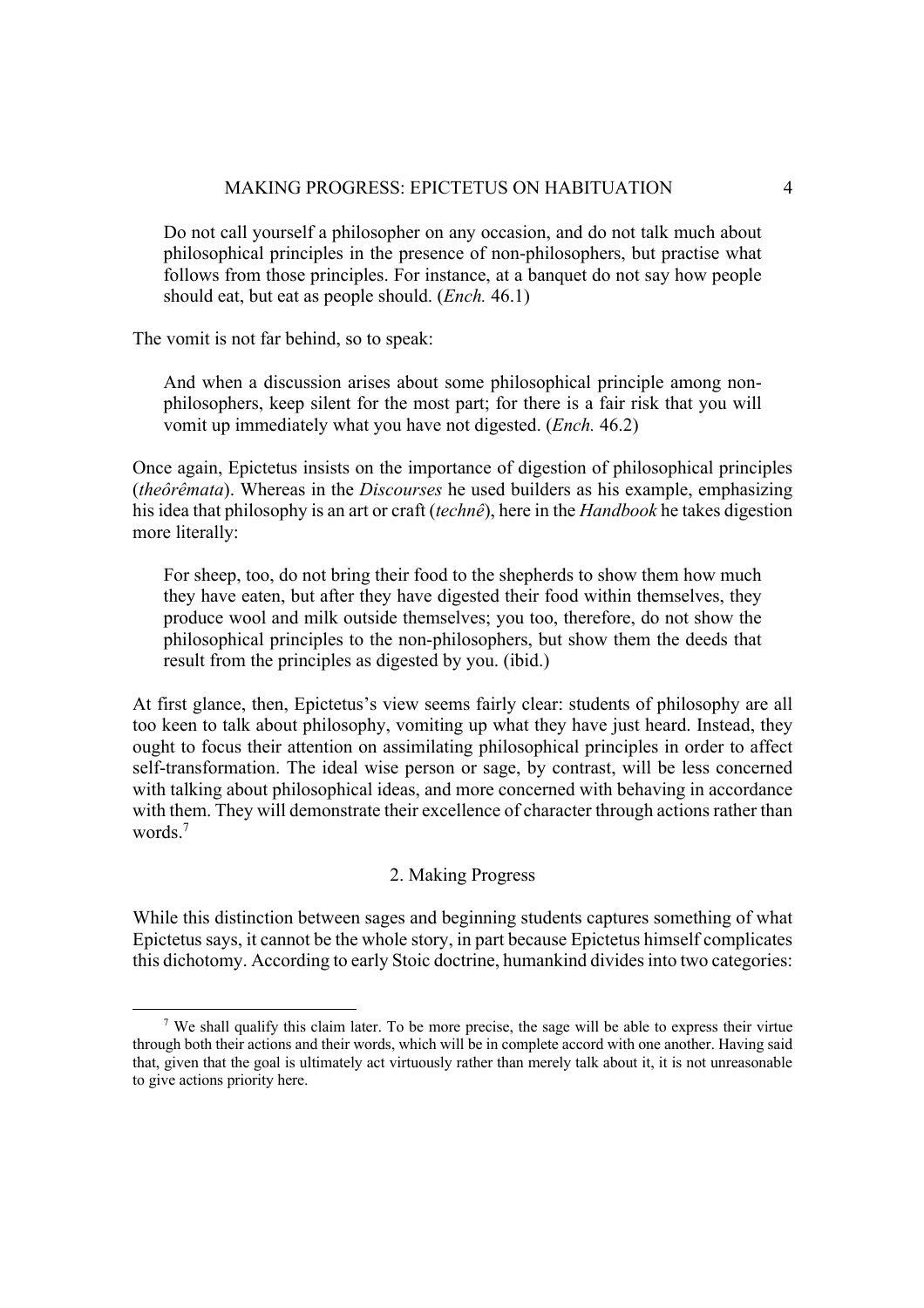Do not call yourself a philosopher on any occasion, and do not talk much about philosophical principles in the presence of non-philosophers, but practise what follows from those principles. For instance, at a banquet do not say how people should eat, but eat as people should. (*Ench.* 46.1)

The vomit is not far behind, so to speak:

And when a discussion arises about some philosophical principle among nonphilosophers, keep silent for the most part; for there is a fair risk that you will vomit up immediately what you have not digested. (*Ench.* 46.2)

Once again, Epictetus insists on the importance of digestion of philosophical principles (*theôrêmata*). Whereas in the *Discourses* he used builders as his example, emphasizing his idea that philosophy is an art or craft (*technê*), here in the *Handbook* he takes digestion more literally:

For sheep, too, do not bring their food to the shepherds to show them how much they have eaten, but after they have digested their food within themselves, they produce wool and milk outside themselves; you too, therefore, do not show the philosophical principles to the non-philosophers, but show them the deeds that result from the principles as digested by you. (ibid.)

At first glance, then, Epictetus's view seems fairly clear: students of philosophy are all too keen to talk about philosophy, vomiting up what they have just heard. Instead, they ought to focus their attention on assimilating philosophical principles in order to affect self-transformation. The ideal wise person or sage, by contrast, will be less concerned with talking about philosophical ideas, and more concerned with behaving in accordance with them. They will demonstrate their excellence of character through actions rather than words.7

# 2. Making Progress

While this distinction between sages and beginning students captures something of what Epictetus says, it cannot be the whole story, in part because Epictetus himself complicates this dichotomy. According to early Stoic doctrine, humankind divides into two categories:

<sup>7</sup> We shall qualify this claim later. To be more precise, the sage will be able to express their virtue through both their actions and their words, which will be in complete accord with one another. Having said that, given that the goal is ultimately act virtuously rather than merely talk about it, it is not unreasonable to give actions priority here.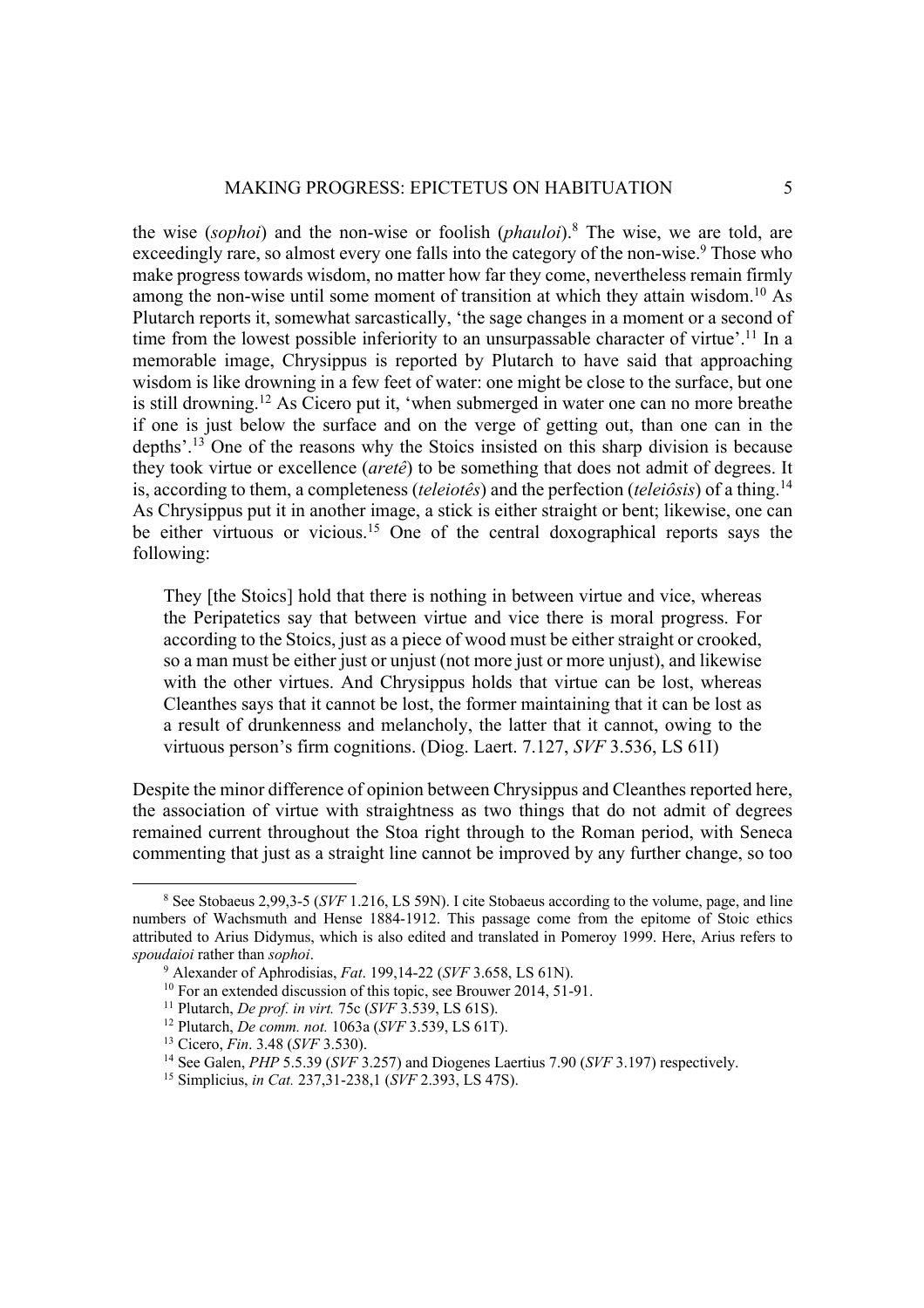the wise (*sophoi*) and the non-wise or foolish (*phauloi*).8 The wise, we are told, are exceedingly rare, so almost every one falls into the category of the non-wise.<sup>9</sup> Those who make progress towards wisdom, no matter how far they come, nevertheless remain firmly among the non-wise until some moment of transition at which they attain wisdom.10 As Plutarch reports it, somewhat sarcastically, 'the sage changes in a moment or a second of time from the lowest possible inferiority to an unsurpassable character of virtue'.<sup>11</sup> In a memorable image, Chrysippus is reported by Plutarch to have said that approaching wisdom is like drowning in a few feet of water: one might be close to the surface, but one is still drowning.12 As Cicero put it, 'when submerged in water one can no more breathe if one is just below the surface and on the verge of getting out, than one can in the depths'.13 One of the reasons why the Stoics insisted on this sharp division is because they took virtue or excellence (*aretê*) to be something that does not admit of degrees. It is, according to them, a completeness (*teleiotês*) and the perfection (*teleiôsis*) of a thing.14 As Chrysippus put it in another image, a stick is either straight or bent; likewise, one can be either virtuous or vicious.<sup>15</sup> One of the central doxographical reports says the following:

They [the Stoics] hold that there is nothing in between virtue and vice, whereas the Peripatetics say that between virtue and vice there is moral progress. For according to the Stoics, just as a piece of wood must be either straight or crooked, so a man must be either just or unjust (not more just or more unjust), and likewise with the other virtues. And Chrysippus holds that virtue can be lost, whereas Cleanthes says that it cannot be lost, the former maintaining that it can be lost as a result of drunkenness and melancholy, the latter that it cannot, owing to the virtuous person's firm cognitions. (Diog. Laert. 7.127, *SVF* 3.536, LS 61I)

Despite the minor difference of opinion between Chrysippus and Cleanthes reported here, the association of virtue with straightness as two things that do not admit of degrees remained current throughout the Stoa right through to the Roman period, with Seneca commenting that just as a straight line cannot be improved by any further change, so too

<sup>8</sup> See Stobaeus 2,99,3-5 (*SVF* 1.216, LS 59N). I cite Stobaeus according to the volume, page, and line numbers of Wachsmuth and Hense 1884-1912. This passage come from the epitome of Stoic ethics attributed to Arius Didymus, which is also edited and translated in Pomeroy 1999. Here, Arius refers to spoudaioi rather than sophoi.<br>
<sup>9</sup> Alexander of Aphrodisias, *Fat.* 199,14-22 (*SVF* 3.658, LS 61N).<br>
<sup>10</sup> For an extended discussion of this topic, see Brouwer 2014, 51-91.<br>
<sup>11</sup> Plutarch, *De prof. in virt.* 75c (*SVF*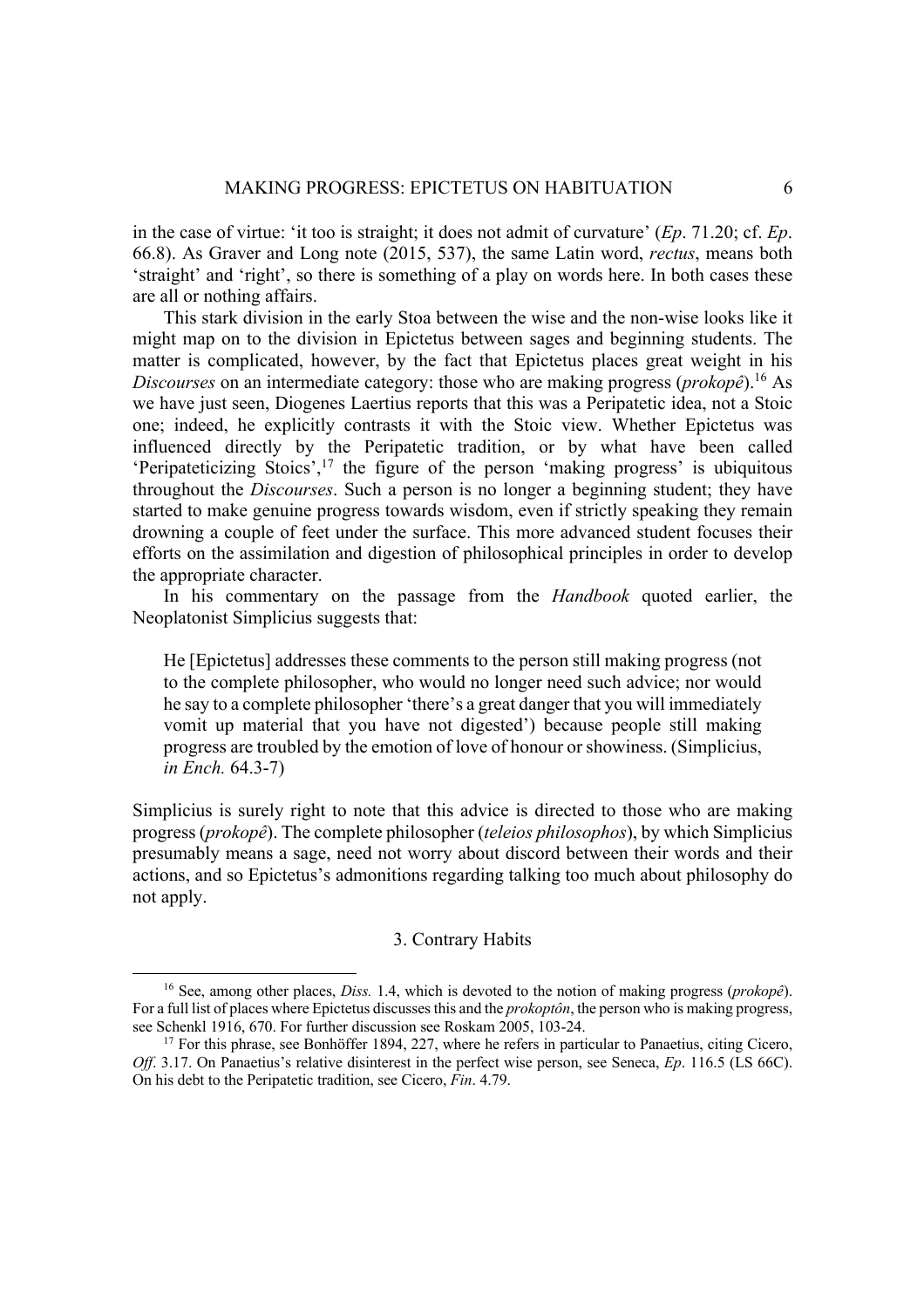in the case of virtue: 'it too is straight; it does not admit of curvature' (*Ep*. 71.20; cf. *Ep*. 66.8). As Graver and Long note (2015, 537), the same Latin word, *rectus*, means both 'straight' and 'right', so there is something of a play on words here. In both cases these are all or nothing affairs.

This stark division in the early Stoa between the wise and the non-wise looks like it might map on to the division in Epictetus between sages and beginning students. The matter is complicated, however, by the fact that Epictetus places great weight in his *Discourses* on an intermediate category: those who are making progress (*prokopê*).16 As we have just seen, Diogenes Laertius reports that this was a Peripatetic idea, not a Stoic one; indeed, he explicitly contrasts it with the Stoic view. Whether Epictetus was influenced directly by the Peripatetic tradition, or by what have been called 'Peripateticizing Stoics',17 the figure of the person 'making progress' is ubiquitous throughout the *Discourses*. Such a person is no longer a beginning student; they have started to make genuine progress towards wisdom, even if strictly speaking they remain drowning a couple of feet under the surface. This more advanced student focuses their efforts on the assimilation and digestion of philosophical principles in order to develop the appropriate character.

In his commentary on the passage from the *Handbook* quoted earlier, the Neoplatonist Simplicius suggests that:

He [Epictetus] addresses these comments to the person still making progress (not to the complete philosopher, who would no longer need such advice; nor would he say to a complete philosopher 'there's a great danger that you will immediately vomit up material that you have not digested') because people still making progress are troubled by the emotion of love of honour or showiness. (Simplicius, *in Ench.* 64.3-7)

Simplicius is surely right to note that this advice is directed to those who are making progress (*prokopê*). The complete philosopher (*teleios philosophos*), by which Simplicius presumably means a sage, need not worry about discord between their words and their actions, and so Epictetus's admonitions regarding talking too much about philosophy do not apply.

# 3. Contrary Habits

<sup>16</sup> See, among other places, *Diss.* 1.4, which is devoted to the notion of making progress (*prokopê*). For a full list of places where Epictetus discusses this and the *prokoptôn*, the person who is making progress, see Schenkl 1916, 670. For further discussion see Roskam 2005, 103-24.<br><sup>17</sup> For this phrase, see Bonhöffer 1894, 227, where he refers in particular to Panaetius, citing Cicero,

*Off.* 3.17. On Panaetius's relative disinterest in the perfect wise person, see Seneca, *Ep.* 116.5 (LS 66C). On his debt to the Peripatetic tradition, see Cicero, *Fin*. 4.79.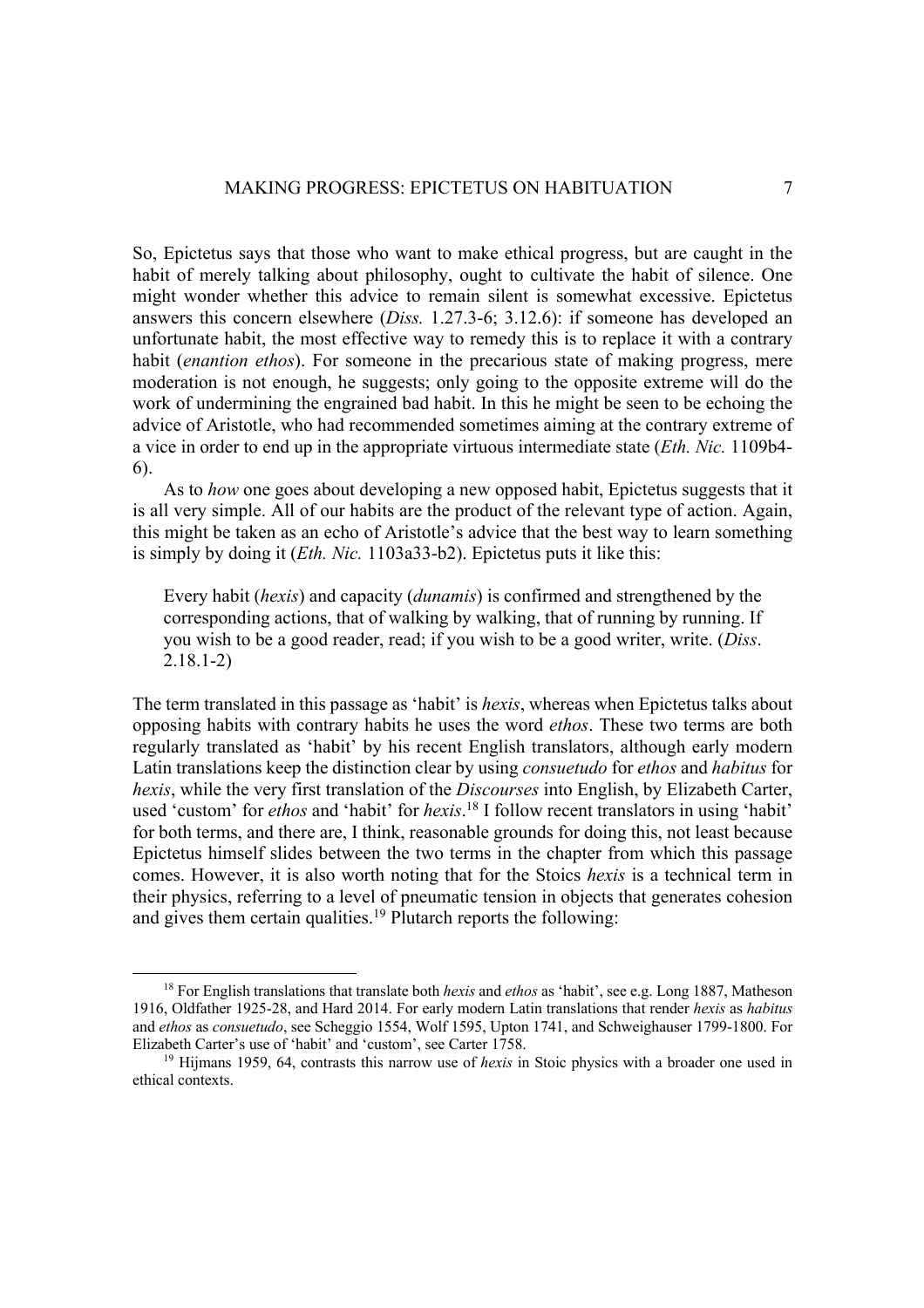So, Epictetus says that those who want to make ethical progress, but are caught in the habit of merely talking about philosophy, ought to cultivate the habit of silence. One might wonder whether this advice to remain silent is somewhat excessive. Epictetus answers this concern elsewhere (*Diss.* 1.27.3-6; 3.12.6): if someone has developed an unfortunate habit, the most effective way to remedy this is to replace it with a contrary habit (*enantion ethos*). For someone in the precarious state of making progress, mere moderation is not enough, he suggests; only going to the opposite extreme will do the work of undermining the engrained bad habit. In this he might be seen to be echoing the advice of Aristotle, who had recommended sometimes aiming at the contrary extreme of a vice in order to end up in the appropriate virtuous intermediate state (*Eth. Nic.* 1109b4- 6).

As to *how* one goes about developing a new opposed habit, Epictetus suggests that it is all very simple. All of our habits are the product of the relevant type of action. Again, this might be taken as an echo of Aristotle's advice that the best way to learn something is simply by doing it (*Eth. Nic.* 1103a33-b2). Epictetus puts it like this:

Every habit (*hexis*) and capacity (*dunamis*) is confirmed and strengthened by the corresponding actions, that of walking by walking, that of running by running. If you wish to be a good reader, read; if you wish to be a good writer, write. (*Diss*. 2.18.1-2)

The term translated in this passage as 'habit' is *hexis*, whereas when Epictetus talks about opposing habits with contrary habits he uses the word *ethos*. These two terms are both regularly translated as 'habit' by his recent English translators, although early modern Latin translations keep the distinction clear by using *consuetudo* for *ethos* and *habitus* for *hexis*, while the very first translation of the *Discourses* into English, by Elizabeth Carter, used 'custom' for *ethos* and 'habit' for *hexis*. <sup>18</sup> I follow recent translators in using 'habit' for both terms, and there are, I think, reasonable grounds for doing this, not least because Epictetus himself slides between the two terms in the chapter from which this passage comes. However, it is also worth noting that for the Stoics *hexis* is a technical term in their physics, referring to a level of pneumatic tension in objects that generates cohesion and gives them certain qualities.<sup>19</sup> Plutarch reports the following:

<sup>18</sup> For English translations that translate both *hexis* and *ethos* as 'habit', see e.g. Long 1887, Matheson 1916, Oldfather 1925-28, and Hard 2014. For early modern Latin translations that render *hexis* as *habitus*  and *ethos* as *consuetudo*, see Scheggio 1554, Wolf 1595, Upton 1741, and Schweighauser 1799-1800. For

<sup>&</sup>lt;sup>19</sup> Hijmans 1959, 64, contrasts this narrow use of *hexis* in Stoic physics with a broader one used in ethical contexts.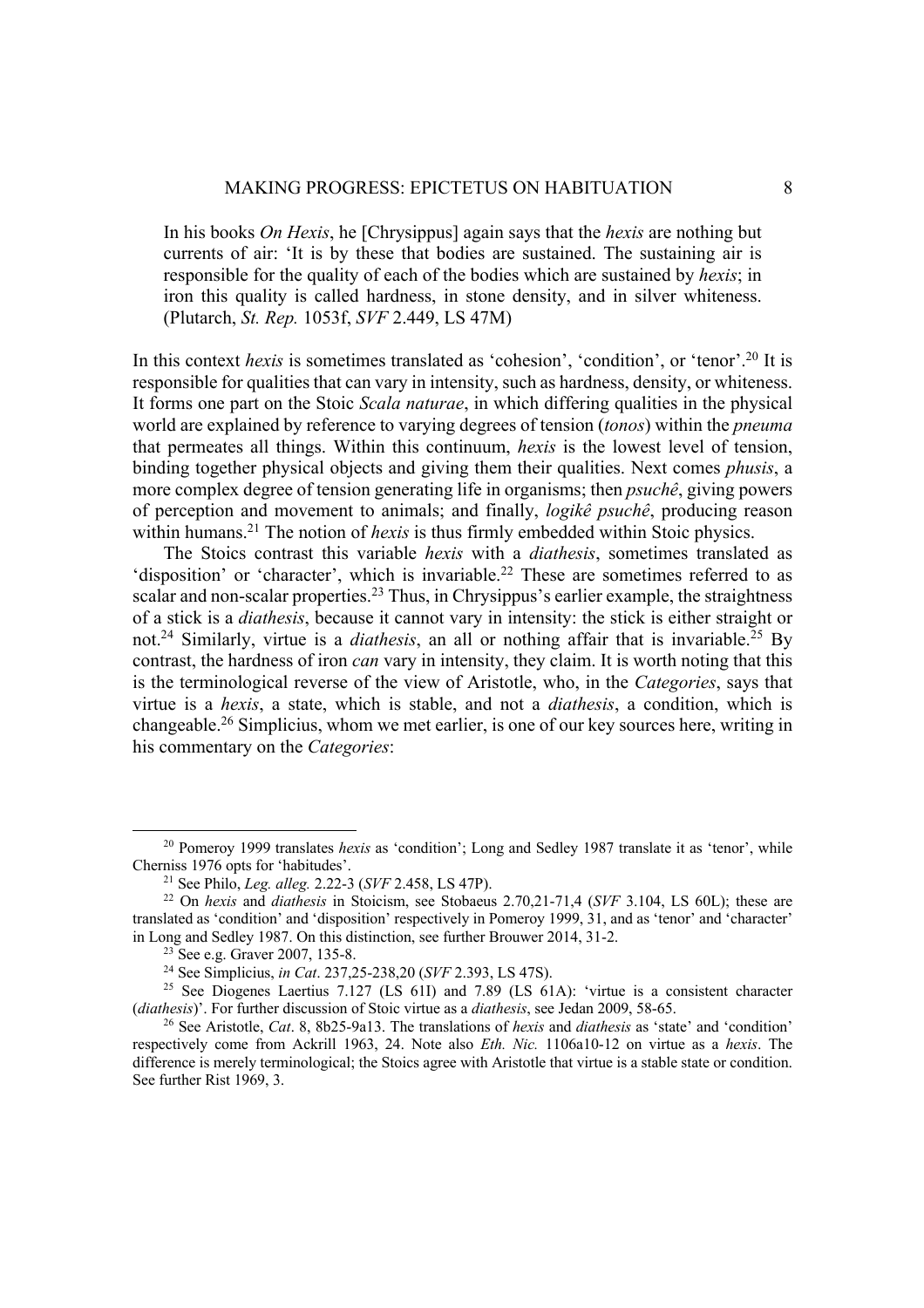In his books *On Hexis*, he [Chrysippus] again says that the *hexis* are nothing but currents of air: 'It is by these that bodies are sustained. The sustaining air is responsible for the quality of each of the bodies which are sustained by *hexis*; in iron this quality is called hardness, in stone density, and in silver whiteness. (Plutarch, *St. Rep.* 1053f, *SVF* 2.449, LS 47M)

In this context *hexis* is sometimes translated as 'cohesion', 'condition', or 'tenor'.<sup>20</sup> It is responsible for qualities that can vary in intensity, such as hardness, density, or whiteness. It forms one part on the Stoic *Scala naturae*, in which differing qualities in the physical world are explained by reference to varying degrees of tension (*tonos*) within the *pneuma*  that permeates all things. Within this continuum, *hexis* is the lowest level of tension, binding together physical objects and giving them their qualities. Next comes *phusis*, a more complex degree of tension generating life in organisms; then *psuchê*, giving powers of perception and movement to animals; and finally, *logikê psuchê*, producing reason within humans.<sup>21</sup> The notion of *hexis* is thus firmly embedded within Stoic physics.

The Stoics contrast this variable *hexis* with a *diathesis*, sometimes translated as 'disposition' or 'character', which is invariable.<sup>22</sup> These are sometimes referred to as scalar and non-scalar properties.<sup>23</sup> Thus, in Chrysippus's earlier example, the straightness of a stick is a *diathesis*, because it cannot vary in intensity: the stick is either straight or not.<sup>24</sup> Similarly, virtue is a *diathesis*, an all or nothing affair that is invariable.<sup>25</sup> By contrast, the hardness of iron *can* vary in intensity, they claim. It is worth noting that this is the terminological reverse of the view of Aristotle, who, in the *Categories*, says that virtue is a *hexis*, a state, which is stable, and not a *diathesis*, a condition, which is changeable.26 Simplicius, whom we met earlier, is one of our key sources here, writing in his commentary on the *Categories*:

<sup>&</sup>lt;sup>20</sup> Pomeroy 1999 translates *hexis* as 'condition'; Long and Sedley 1987 translate it as 'tenor', while Cherniss 1976 opts for 'habitudes'.

<sup>&</sup>lt;sup>21</sup> See Philo, *Leg. alleg.* 2.22-3 (*SVF* 2.458, LS 47P). <sup>22</sup> On *hexis* and *diathesis* in Stoicism, see Stobaeus 2.70.21-71.4 (*SVF* 3.104, LS 60L); these are translated as 'condition' and 'disposition' respectively in Pomeroy 1999, 31, and as 'tenor' and 'character' in Long and Sedley 1987. On this distinction, see further Brouwer 2014, 31-2.<br><sup>23</sup> See e.g. Graver 2007, 135-8.<br><sup>24</sup> See Simplicius, *in Cat.* 237,25-238,20 (*SVF* 2.393, LS 47S).<br><sup>25</sup> See Diogenes Laertius 7.127 (LS 61I)

<sup>(</sup>diathesis)'. For further discussion of Stoic virtue as a diathesis, see Jedan 2009, 58-65.<br><sup>26</sup> See Aristotle, *Cat.* 8, 8b25-9a13. The translations of *hexis* and *diathesis* as 'state' and 'condition'

respectively come from Ackrill 1963, 24. Note also *Eth. Nic.* 1106a10-12 on virtue as a *hexis*. The difference is merely terminological; the Stoics agree with Aristotle that virtue is a stable state or condition. See further Rist 1969, 3.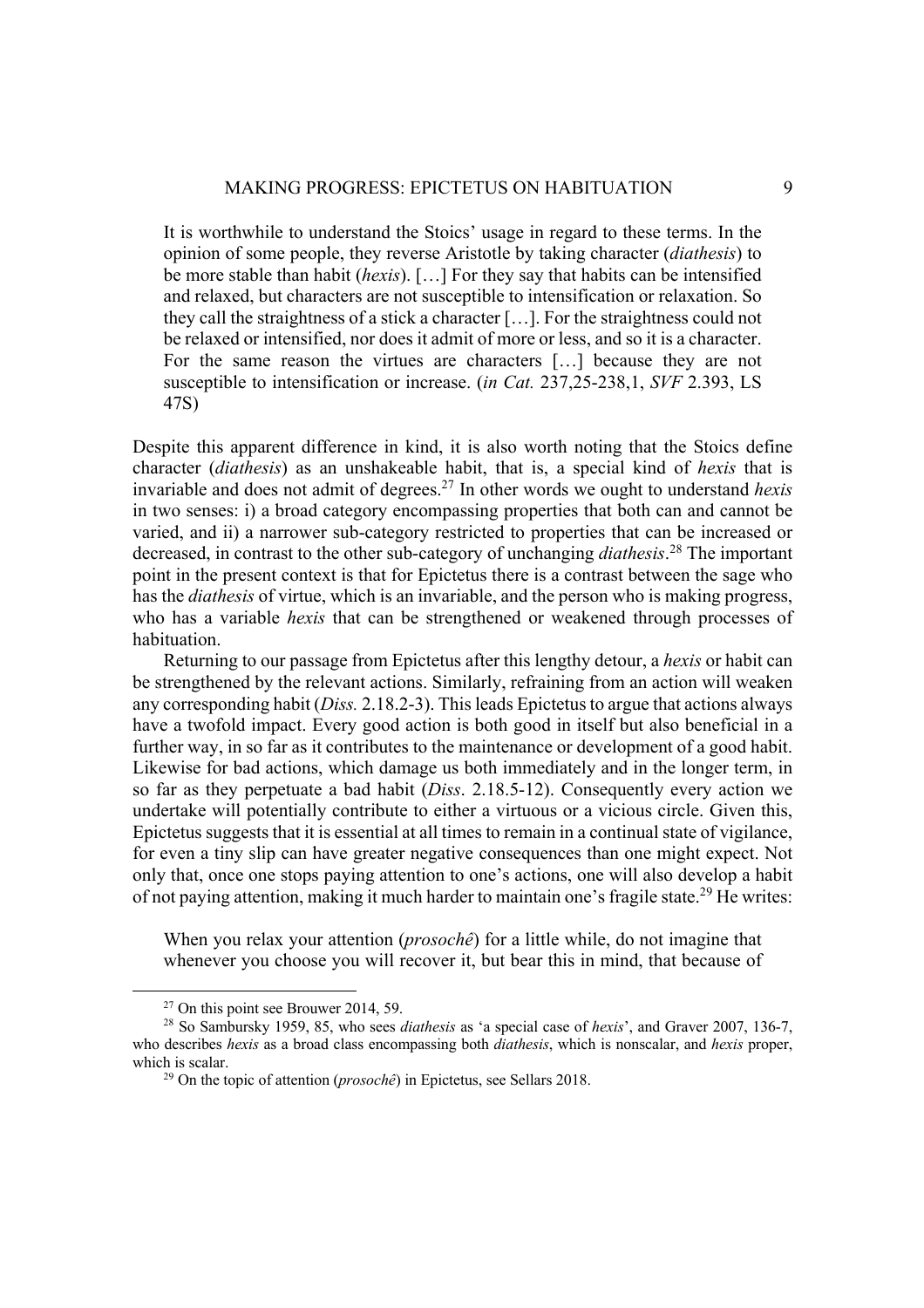It is worthwhile to understand the Stoics' usage in regard to these terms. In the opinion of some people, they reverse Aristotle by taking character (*diathesis*) to be more stable than habit (*hexis*). […] For they say that habits can be intensified and relaxed, but characters are not susceptible to intensification or relaxation. So they call the straightness of a stick a character […]. For the straightness could not be relaxed or intensified, nor does it admit of more or less, and so it is a character. For the same reason the virtues are characters […] because they are not susceptible to intensification or increase. (*in Cat.* 237,25-238,1, *SVF* 2.393, LS 47S)

Despite this apparent difference in kind, it is also worth noting that the Stoics define character (*diathesis*) as an unshakeable habit, that is, a special kind of *hexis* that is invariable and does not admit of degrees.27 In other words we ought to understand *hexis*  in two senses: i) a broad category encompassing properties that both can and cannot be varied, and ii) a narrower sub-category restricted to properties that can be increased or decreased, in contrast to the other sub-category of unchanging *diathesis*. <sup>28</sup> The important point in the present context is that for Epictetus there is a contrast between the sage who has the *diathesis* of virtue, which is an invariable, and the person who is making progress, who has a variable *hexis* that can be strengthened or weakened through processes of habituation.

Returning to our passage from Epictetus after this lengthy detour, a *hexis* or habit can be strengthened by the relevant actions. Similarly, refraining from an action will weaken any corresponding habit (*Diss.* 2.18.2-3). This leads Epictetus to argue that actions always have a twofold impact. Every good action is both good in itself but also beneficial in a further way, in so far as it contributes to the maintenance or development of a good habit. Likewise for bad actions, which damage us both immediately and in the longer term, in so far as they perpetuate a bad habit (*Diss*. 2.18.5-12). Consequently every action we undertake will potentially contribute to either a virtuous or a vicious circle. Given this, Epictetus suggests that it is essential at all times to remain in a continual state of vigilance, for even a tiny slip can have greater negative consequences than one might expect. Not only that, once one stops paying attention to one's actions, one will also develop a habit of not paying attention, making it much harder to maintain one's fragile state.<sup>29</sup> He writes:

When you relax your attention (*prosochê*) for a little while, do not imagine that whenever you choose you will recover it, but bear this in mind, that because of

<sup>&</sup>lt;sup>27</sup> On this point see Brouwer 2014, 59.<br><sup>28</sup> So Sambursky 1959, 85, who sees *diathesis* as 'a special case of *hexis*', and Graver 2007, 136-7, who describes *hexis* as a broad class encompassing both *diathesis*, which is nonscalar, and *hexis* proper, which is scalar.<br><sup>29</sup> On the topic of attention (*prosochê*) in Epictetus, see Sellars 2018.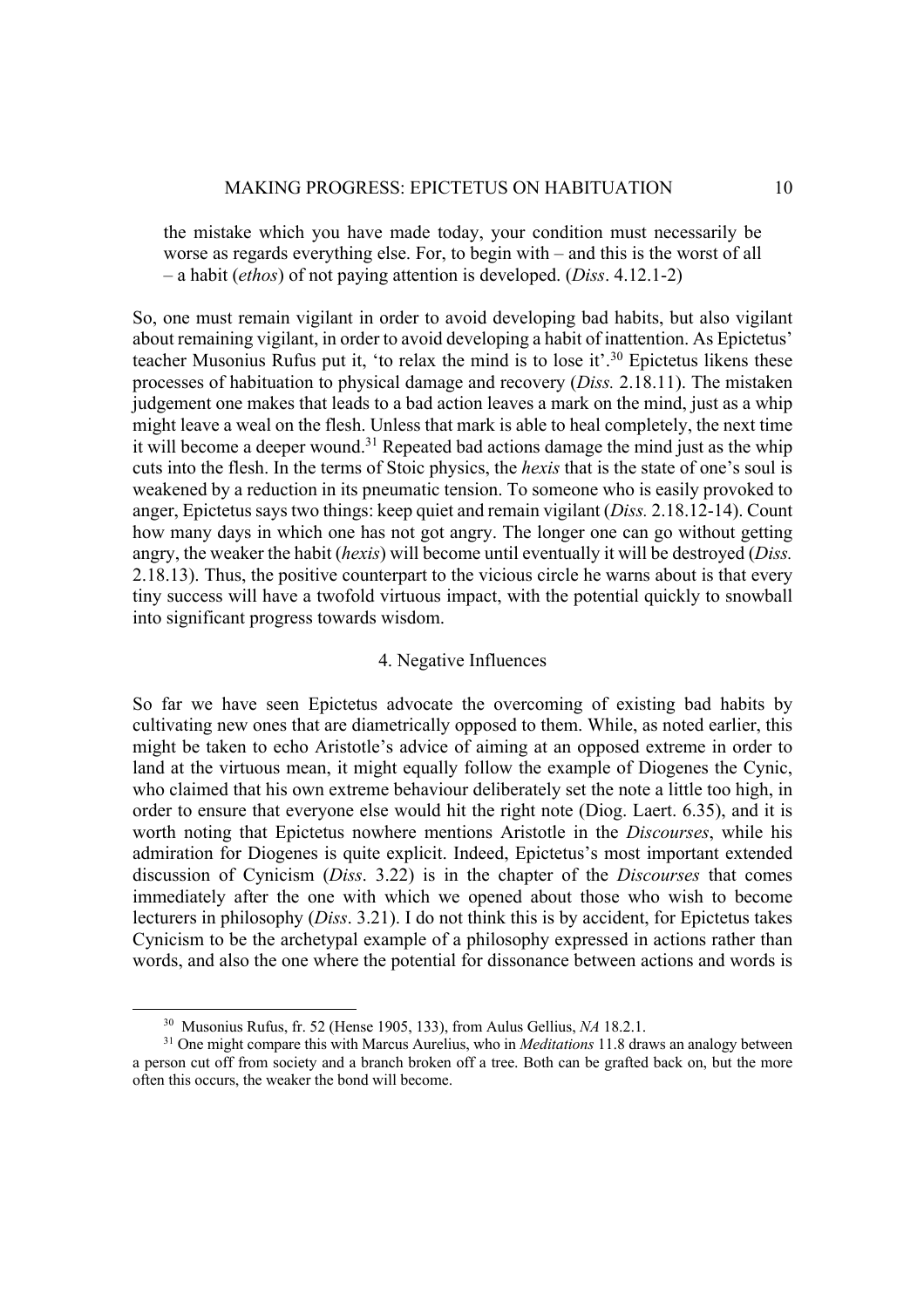the mistake which you have made today, your condition must necessarily be worse as regards everything else. For, to begin with – and this is the worst of all – a habit (*ethos*) of not paying attention is developed. (*Diss*. 4.12.1-2)

So, one must remain vigilant in order to avoid developing bad habits, but also vigilant about remaining vigilant, in order to avoid developing a habit of inattention. As Epictetus' teacher Musonius Rufus put it, 'to relax the mind is to lose it'.30 Epictetus likens these processes of habituation to physical damage and recovery (*Diss.* 2.18.11). The mistaken judgement one makes that leads to a bad action leaves a mark on the mind, just as a whip might leave a weal on the flesh. Unless that mark is able to heal completely, the next time it will become a deeper wound.<sup>31</sup> Repeated bad actions damage the mind just as the whip cuts into the flesh. In the terms of Stoic physics, the *hexis* that is the state of one's soul is weakened by a reduction in its pneumatic tension. To someone who is easily provoked to anger, Epictetus says two things: keep quiet and remain vigilant (*Diss.* 2.18.12-14). Count how many days in which one has not got angry. The longer one can go without getting angry, the weaker the habit (*hexis*) will become until eventually it will be destroyed (*Diss.* 2.18.13). Thus, the positive counterpart to the vicious circle he warns about is that every tiny success will have a twofold virtuous impact, with the potential quickly to snowball into significant progress towards wisdom.

# 4. Negative Influences

So far we have seen Epictetus advocate the overcoming of existing bad habits by cultivating new ones that are diametrically opposed to them. While, as noted earlier, this might be taken to echo Aristotle's advice of aiming at an opposed extreme in order to land at the virtuous mean, it might equally follow the example of Diogenes the Cynic, who claimed that his own extreme behaviour deliberately set the note a little too high, in order to ensure that everyone else would hit the right note (Diog. Laert. 6.35), and it is worth noting that Epictetus nowhere mentions Aristotle in the *Discourses*, while his admiration for Diogenes is quite explicit. Indeed, Epictetus's most important extended discussion of Cynicism (*Diss*. 3.22) is in the chapter of the *Discourses* that comes immediately after the one with which we opened about those who wish to become lecturers in philosophy (*Diss*. 3.21). I do not think this is by accident, for Epictetus takes Cynicism to be the archetypal example of a philosophy expressed in actions rather than words, and also the one where the potential for dissonance between actions and words is

<sup>30</sup> Musonius Rufus, fr. 52 (Hense 1905, 133), from Aulus Gellius, *NA* 18.2.1. 31 One might compare this with Marcus Aurelius, who in *Meditations* 11.8 draws an analogy between a person cut off from society and a branch broken off a tree. Both can be grafted back on, but the more often this occurs, the weaker the bond will become.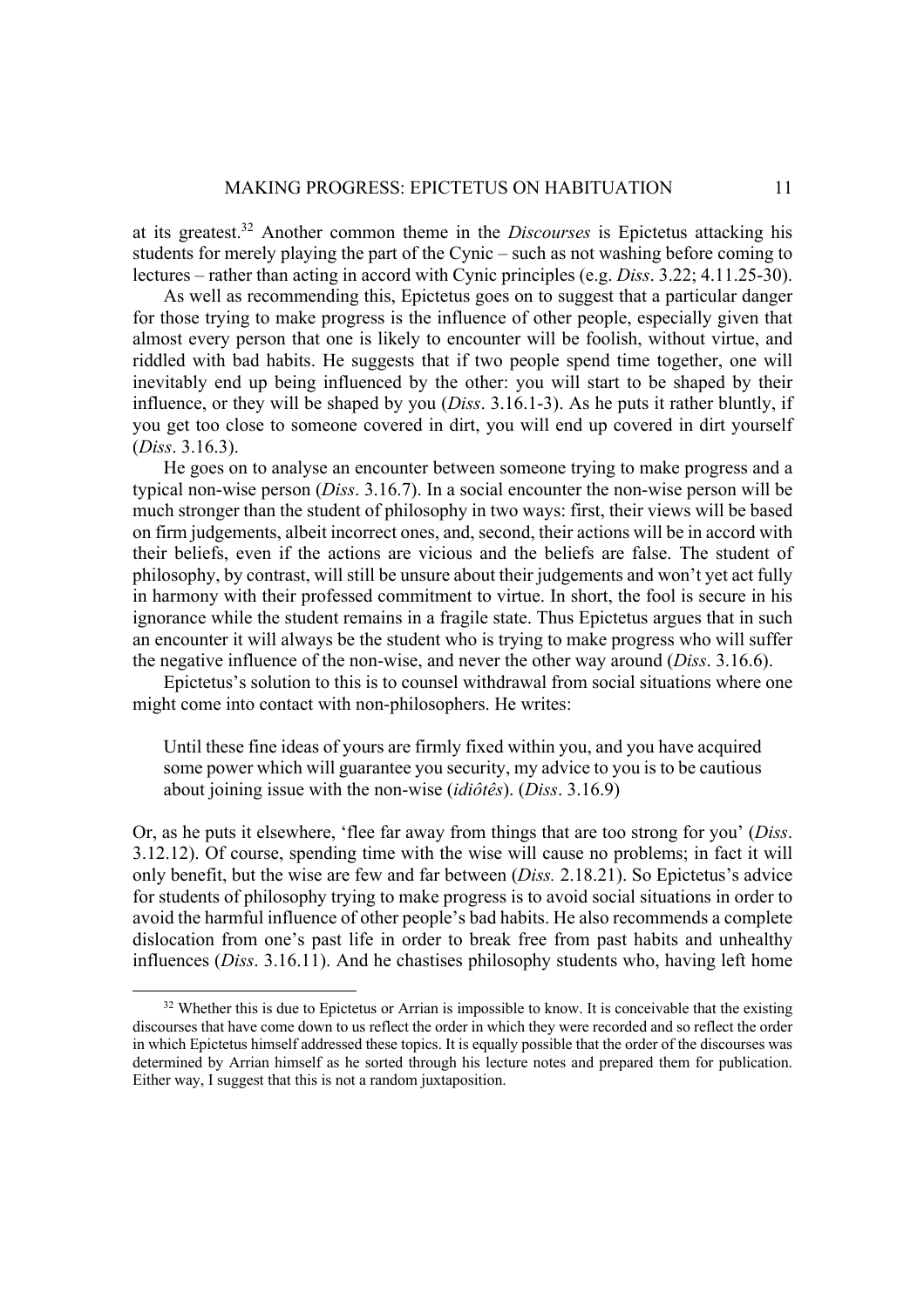at its greatest.32 Another common theme in the *Discourses* is Epictetus attacking his students for merely playing the part of the Cynic – such as not washing before coming to lectures – rather than acting in accord with Cynic principles (e.g. *Diss*. 3.22; 4.11.25-30).

As well as recommending this, Epictetus goes on to suggest that a particular danger for those trying to make progress is the influence of other people, especially given that almost every person that one is likely to encounter will be foolish, without virtue, and riddled with bad habits. He suggests that if two people spend time together, one will inevitably end up being influenced by the other: you will start to be shaped by their influence, or they will be shaped by you (*Diss*. 3.16.1-3). As he puts it rather bluntly, if you get too close to someone covered in dirt, you will end up covered in dirt yourself (*Diss*. 3.16.3).

He goes on to analyse an encounter between someone trying to make progress and a typical non-wise person (*Diss*. 3.16.7). In a social encounter the non-wise person will be much stronger than the student of philosophy in two ways: first, their views will be based on firm judgements, albeit incorrect ones, and, second, their actions will be in accord with their beliefs, even if the actions are vicious and the beliefs are false. The student of philosophy, by contrast, will still be unsure about their judgements and won't yet act fully in harmony with their professed commitment to virtue. In short, the fool is secure in his ignorance while the student remains in a fragile state. Thus Epictetus argues that in such an encounter it will always be the student who is trying to make progress who will suffer the negative influence of the non-wise, and never the other way around (*Diss*. 3.16.6).

Epictetus's solution to this is to counsel withdrawal from social situations where one might come into contact with non-philosophers. He writes:

Until these fine ideas of yours are firmly fixed within you, and you have acquired some power which will guarantee you security, my advice to you is to be cautious about joining issue with the non-wise (*idiôtês*). (*Diss*. 3.16.9)

Or, as he puts it elsewhere, 'flee far away from things that are too strong for you' (*Diss*. 3.12.12). Of course, spending time with the wise will cause no problems; in fact it will only benefit, but the wise are few and far between (*Diss.* 2.18.21). So Epictetus's advice for students of philosophy trying to make progress is to avoid social situations in order to avoid the harmful influence of other people's bad habits. He also recommends a complete dislocation from one's past life in order to break free from past habits and unhealthy influences (*Diss*. 3.16.11). And he chastises philosophy students who, having left home

 $32$  Whether this is due to Epictetus or Arrian is impossible to know. It is conceivable that the existing discourses that have come down to us reflect the order in which they were recorded and so reflect the order in which Epictetus himself addressed these topics. It is equally possible that the order of the discourses was determined by Arrian himself as he sorted through his lecture notes and prepared them for publication. Either way, I suggest that this is not a random juxtaposition.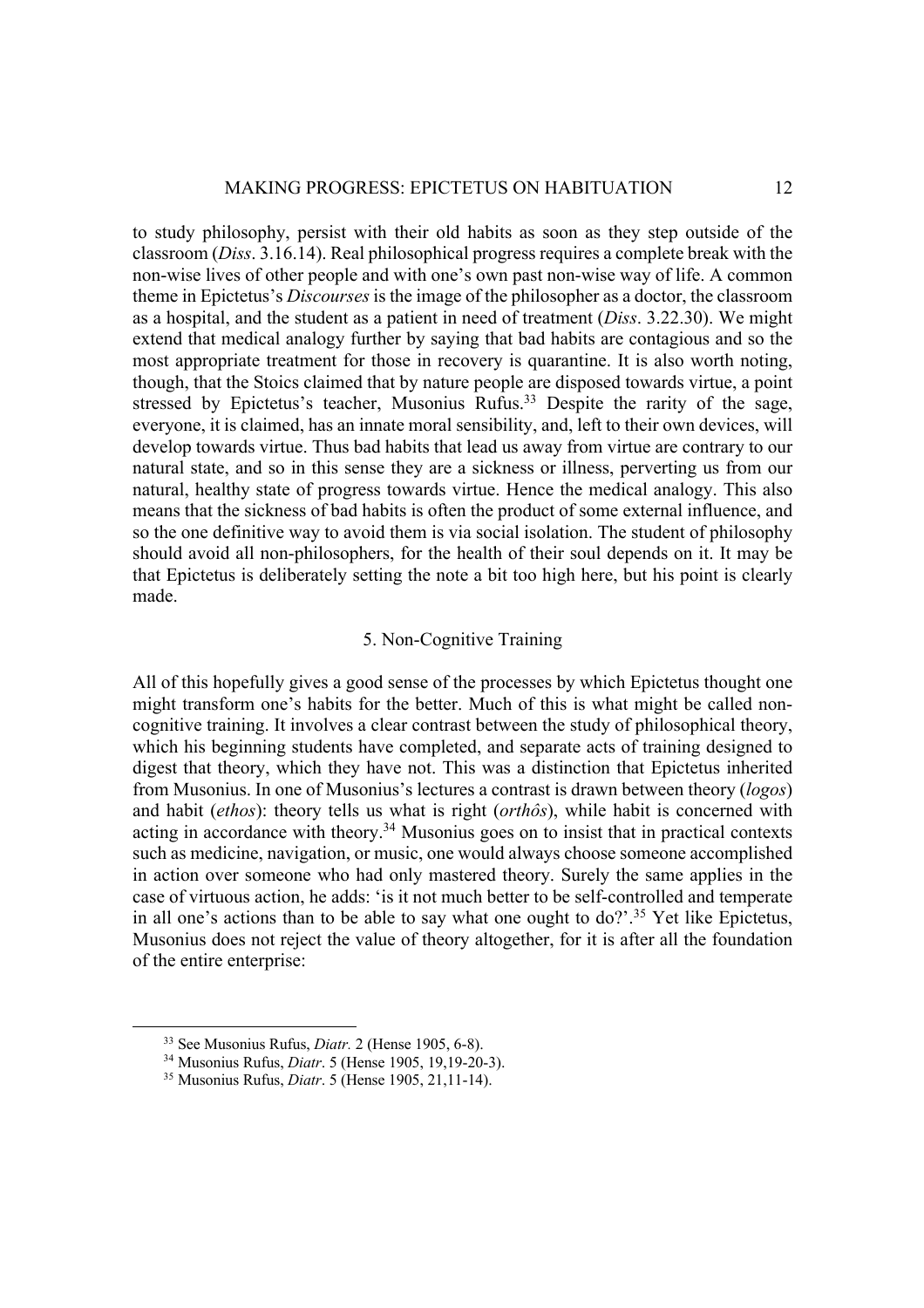to study philosophy, persist with their old habits as soon as they step outside of the classroom (*Diss*. 3.16.14). Real philosophical progress requires a complete break with the non-wise lives of other people and with one's own past non-wise way of life. A common theme in Epictetus's *Discourses* is the image of the philosopher as a doctor, the classroom as a hospital, and the student as a patient in need of treatment (*Diss*. 3.22.30). We might extend that medical analogy further by saying that bad habits are contagious and so the most appropriate treatment for those in recovery is quarantine. It is also worth noting, though, that the Stoics claimed that by nature people are disposed towards virtue, a point stressed by Epictetus's teacher, Musonius Rufus.<sup>33</sup> Despite the rarity of the sage, everyone, it is claimed, has an innate moral sensibility, and, left to their own devices, will develop towards virtue. Thus bad habits that lead us away from virtue are contrary to our natural state, and so in this sense they are a sickness or illness, perverting us from our natural, healthy state of progress towards virtue. Hence the medical analogy. This also means that the sickness of bad habits is often the product of some external influence, and so the one definitive way to avoid them is via social isolation. The student of philosophy should avoid all non-philosophers, for the health of their soul depends on it. It may be that Epictetus is deliberately setting the note a bit too high here, but his point is clearly made.

# 5. Non-Cognitive Training

All of this hopefully gives a good sense of the processes by which Epictetus thought one might transform one's habits for the better. Much of this is what might be called noncognitive training. It involves a clear contrast between the study of philosophical theory, which his beginning students have completed, and separate acts of training designed to digest that theory, which they have not. This was a distinction that Epictetus inherited from Musonius. In one of Musonius's lectures a contrast is drawn between theory (*logos*) and habit (*ethos*): theory tells us what is right (*orthôs*), while habit is concerned with acting in accordance with theory.<sup>34</sup> Musonius goes on to insist that in practical contexts such as medicine, navigation, or music, one would always choose someone accomplished in action over someone who had only mastered theory. Surely the same applies in the case of virtuous action, he adds: 'is it not much better to be self-controlled and temperate in all one's actions than to be able to say what one ought to do?'.35 Yet like Epictetus, Musonius does not reject the value of theory altogether, for it is after all the foundation of the entire enterprise:

<sup>33</sup> See Musonius Rufus, *Diatr.* 2 (Hense 1905, 6-8). 34 Musonius Rufus, *Diatr*. 5 (Hense 1905, 19,19-20-3). 35 Musonius Rufus, *Diatr*. 5 (Hense 1905, 21,11-14).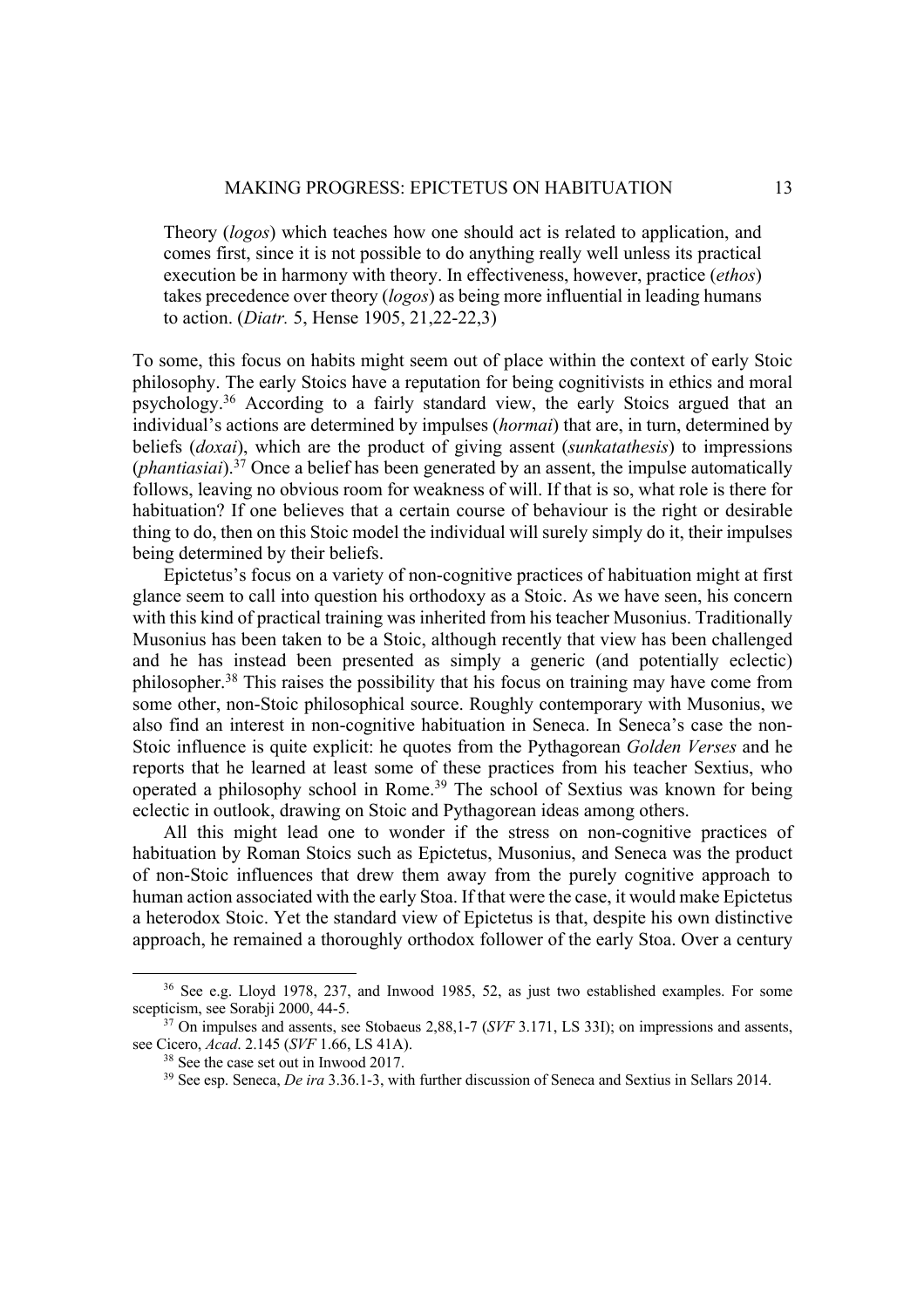Theory (*logos*) which teaches how one should act is related to application, and comes first, since it is not possible to do anything really well unless its practical execution be in harmony with theory. In effectiveness, however, practice (*ethos*) takes precedence over theory (*logos*) as being more influential in leading humans to action. (*Diatr.* 5, Hense 1905, 21,22-22,3)

To some, this focus on habits might seem out of place within the context of early Stoic philosophy. The early Stoics have a reputation for being cognitivists in ethics and moral psychology.36 According to a fairly standard view, the early Stoics argued that an individual's actions are determined by impulses (*hormai*) that are, in turn, determined by beliefs (*doxai*), which are the product of giving assent (*sunkatathesis*) to impressions (*phantiasiai*). <sup>37</sup> Once a belief has been generated by an assent, the impulse automatically follows, leaving no obvious room for weakness of will. If that is so, what role is there for habituation? If one believes that a certain course of behaviour is the right or desirable thing to do, then on this Stoic model the individual will surely simply do it, their impulses being determined by their beliefs.

Epictetus's focus on a variety of non-cognitive practices of habituation might at first glance seem to call into question his orthodoxy as a Stoic. As we have seen, his concern with this kind of practical training was inherited from his teacher Musonius. Traditionally Musonius has been taken to be a Stoic, although recently that view has been challenged and he has instead been presented as simply a generic (and potentially eclectic) philosopher.38 This raises the possibility that his focus on training may have come from some other, non-Stoic philosophical source. Roughly contemporary with Musonius, we also find an interest in non-cognitive habituation in Seneca. In Seneca's case the non-Stoic influence is quite explicit: he quotes from the Pythagorean *Golden Verses* and he reports that he learned at least some of these practices from his teacher Sextius, who operated a philosophy school in Rome.<sup>39</sup> The school of Sextius was known for being eclectic in outlook, drawing on Stoic and Pythagorean ideas among others.

All this might lead one to wonder if the stress on non-cognitive practices of habituation by Roman Stoics such as Epictetus, Musonius, and Seneca was the product of non-Stoic influences that drew them away from the purely cognitive approach to human action associated with the early Stoa. If that were the case, it would make Epictetus a heterodox Stoic. Yet the standard view of Epictetus is that, despite his own distinctive approach, he remained a thoroughly orthodox follower of the early Stoa. Over a century

 $36$  See e.g. Lloyd 1978, 237, and Inwood 1985, 52, as just two established examples. For some scepticism, see Sorabji 2000, 44-5.

<sup>&</sup>lt;sup>37</sup> On impulses and assents, see Stobaeus 2,88,1-7 (*SVF* 3.171, LS 33I); on impressions and assents, see Cicero, *Acad.* 2.145 (*SVF* 1.66, LS 41A).

<sup>&</sup>lt;sup>38</sup> See the case set out in Inwood 2017.<br><sup>39</sup> See esp. Seneca, *De ira* 3.36.1-3, with further discussion of Seneca and Sextius in Sellars 2014.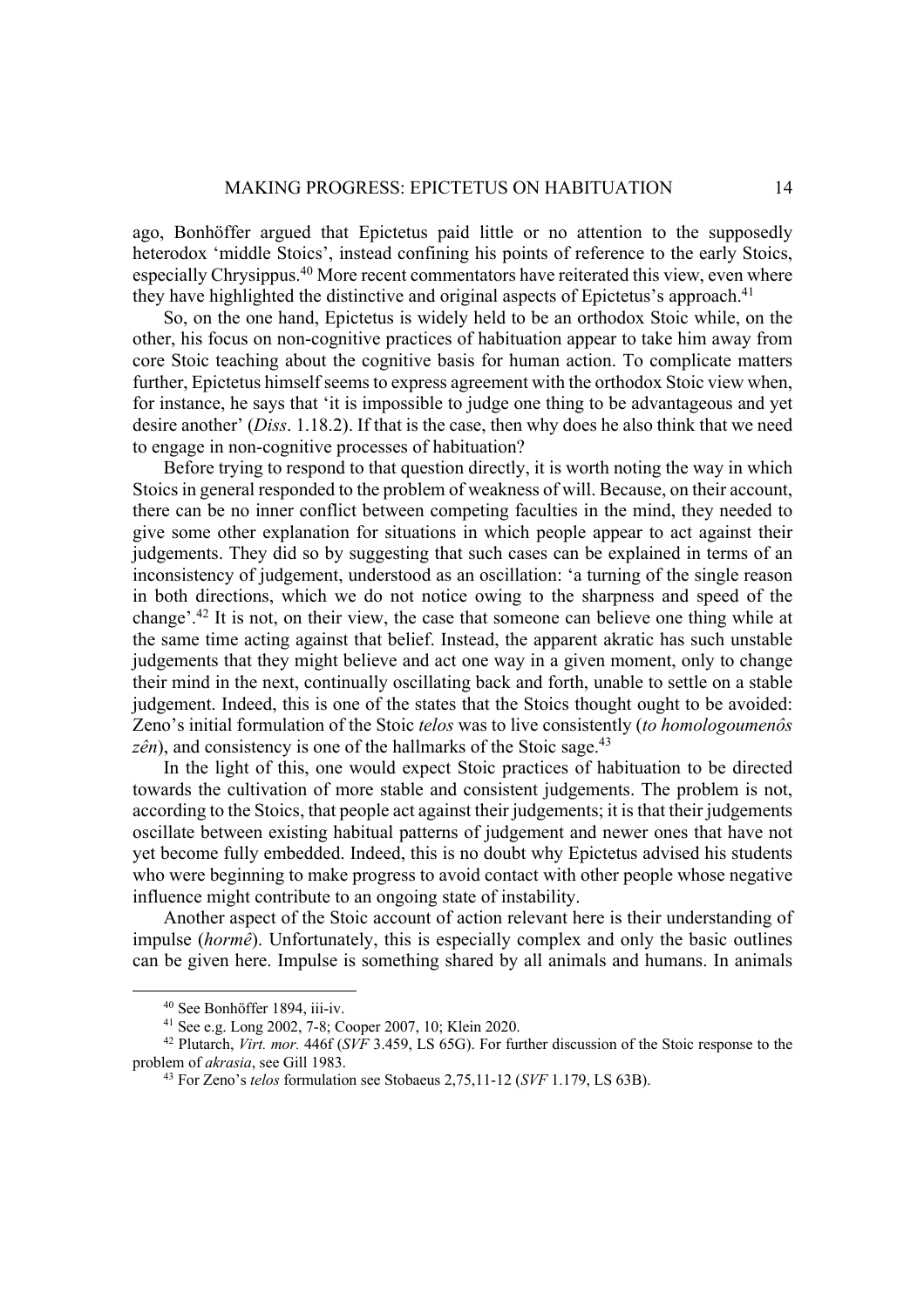ago, Bonhöffer argued that Epictetus paid little or no attention to the supposedly heterodox 'middle Stoics', instead confining his points of reference to the early Stoics, especially Chrysippus.40 More recent commentators have reiterated this view, even where they have highlighted the distinctive and original aspects of Epictetus's approach.<sup>41</sup>

So, on the one hand, Epictetus is widely held to be an orthodox Stoic while, on the other, his focus on non-cognitive practices of habituation appear to take him away from core Stoic teaching about the cognitive basis for human action. To complicate matters further, Epictetus himself seems to express agreement with the orthodox Stoic view when, for instance, he says that 'it is impossible to judge one thing to be advantageous and yet desire another' (*Diss*. 1.18.2). If that is the case, then why does he also think that we need to engage in non-cognitive processes of habituation?

Before trying to respond to that question directly, it is worth noting the way in which Stoics in general responded to the problem of weakness of will. Because, on their account, there can be no inner conflict between competing faculties in the mind, they needed to give some other explanation for situations in which people appear to act against their judgements. They did so by suggesting that such cases can be explained in terms of an inconsistency of judgement, understood as an oscillation: 'a turning of the single reason in both directions, which we do not notice owing to the sharpness and speed of the change'.42 It is not, on their view, the case that someone can believe one thing while at the same time acting against that belief. Instead, the apparent akratic has such unstable judgements that they might believe and act one way in a given moment, only to change their mind in the next, continually oscillating back and forth, unable to settle on a stable judgement. Indeed, this is one of the states that the Stoics thought ought to be avoided: Zeno's initial formulation of the Stoic *telos* was to live consistently (*to homologoumenôs*   $z\hat{e}n$ ), and consistency is one of the hallmarks of the Stoic sage.<sup>43</sup>

In the light of this, one would expect Stoic practices of habituation to be directed towards the cultivation of more stable and consistent judgements. The problem is not, according to the Stoics, that people act against their judgements; it is that their judgements oscillate between existing habitual patterns of judgement and newer ones that have not yet become fully embedded. Indeed, this is no doubt why Epictetus advised his students who were beginning to make progress to avoid contact with other people whose negative influence might contribute to an ongoing state of instability.

Another aspect of the Stoic account of action relevant here is their understanding of impulse (*hormê*). Unfortunately, this is especially complex and only the basic outlines can be given here. Impulse is something shared by all animals and humans. In animals

<sup>40</sup> See Bonhöffer 1894, iii-iv.

<sup>41</sup> See e.g. Long 2002, 7-8; Cooper 2007, 10; Klein 2020. 42 Plutarch, *Virt. mor.* 446f (*SVF* 3.459, LS 65G). For further discussion of the Stoic response to the problem of *akrasia*, see Gill 1983. 43 For Zeno's *telos* formulation see Stobaeus 2,75,11-12 (*SVF* 1.179, LS 63B).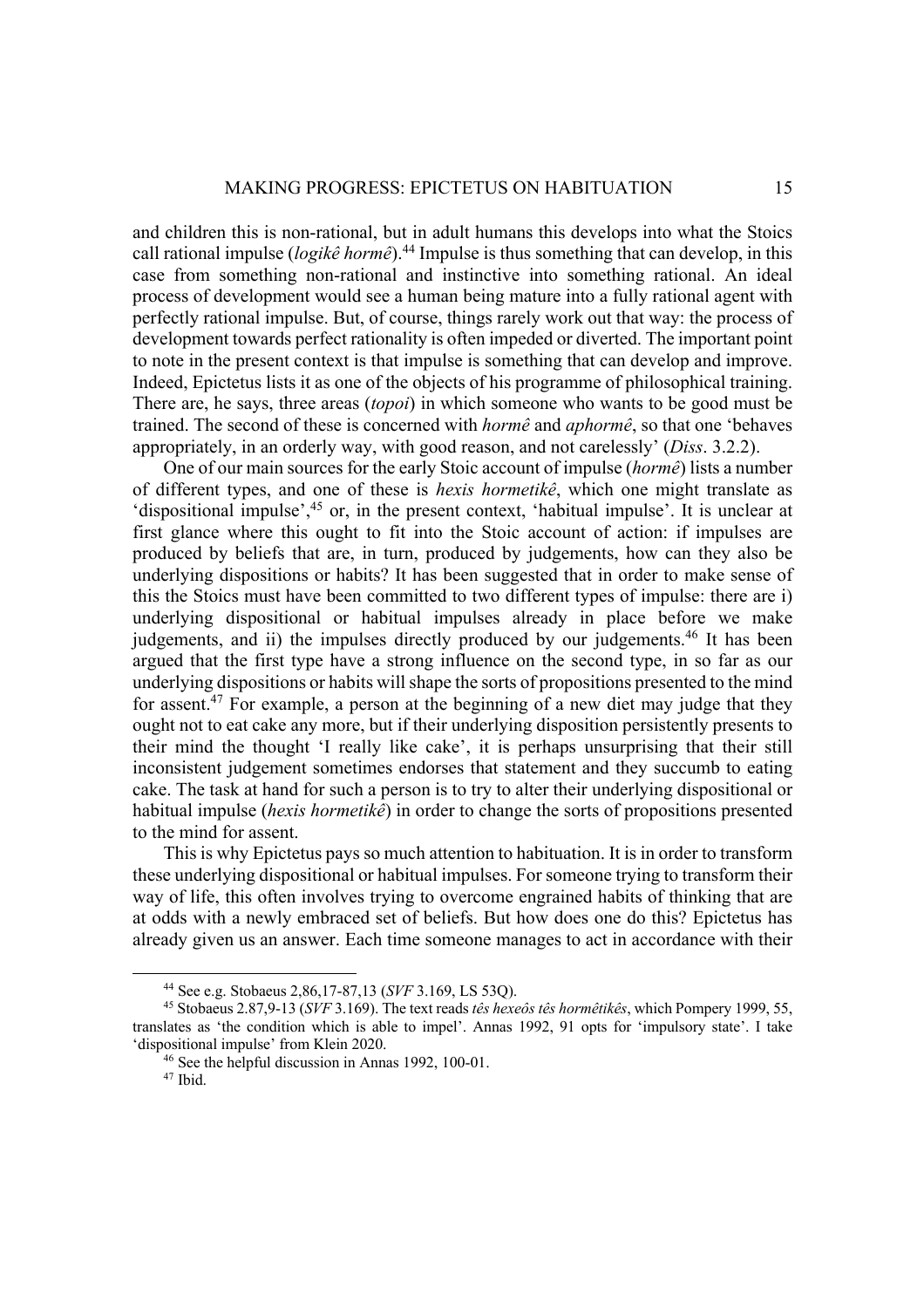and children this is non-rational, but in adult humans this develops into what the Stoics call rational impulse (*logikê hormê*).44 Impulse is thus something that can develop, in this case from something non-rational and instinctive into something rational. An ideal process of development would see a human being mature into a fully rational agent with perfectly rational impulse. But, of course, things rarely work out that way: the process of development towards perfect rationality is often impeded or diverted. The important point to note in the present context is that impulse is something that can develop and improve. Indeed, Epictetus lists it as one of the objects of his programme of philosophical training. There are, he says, three areas (*topoi*) in which someone who wants to be good must be trained. The second of these is concerned with *hormê* and *aphormê*, so that one 'behaves appropriately, in an orderly way, with good reason, and not carelessly' (*Diss*. 3.2.2).

One of our main sources for the early Stoic account of impulse (*hormê*) lists a number of different types, and one of these is *hexis hormetikê*, which one might translate as 'dispositional impulse',<sup>45</sup> or, in the present context, 'habitual impulse'. It is unclear at first glance where this ought to fit into the Stoic account of action: if impulses are produced by beliefs that are, in turn, produced by judgements, how can they also be underlying dispositions or habits? It has been suggested that in order to make sense of this the Stoics must have been committed to two different types of impulse: there are i) underlying dispositional or habitual impulses already in place before we make judgements, and ii) the impulses directly produced by our judgements.<sup>46</sup> It has been argued that the first type have a strong influence on the second type, in so far as our underlying dispositions or habits will shape the sorts of propositions presented to the mind for assent.<sup>47</sup> For example, a person at the beginning of a new diet may judge that they ought not to eat cake any more, but if their underlying disposition persistently presents to their mind the thought 'I really like cake', it is perhaps unsurprising that their still inconsistent judgement sometimes endorses that statement and they succumb to eating cake. The task at hand for such a person is to try to alter their underlying dispositional or habitual impulse (*hexis hormetikê*) in order to change the sorts of propositions presented to the mind for assent.

This is why Epictetus pays so much attention to habituation. It is in order to transform these underlying dispositional or habitual impulses. For someone trying to transform their way of life, this often involves trying to overcome engrained habits of thinking that are at odds with a newly embraced set of beliefs. But how does one do this? Epictetus has already given us an answer. Each time someone manages to act in accordance with their

<sup>44</sup> See e.g. Stobaeus 2,86,17-87,13 (*SVF* 3.169, LS 53Q). 45 Stobaeus 2.87,9-13 (*SVF* 3.169). The text reads *tês hexeôs tês hormêtikês*, which Pompery 1999, 55, translates as 'the condition which is able to impel'. Annas 1992, 91 opts for 'impulsory state'. I take

<sup>&</sup>lt;sup>46</sup> See the helpful discussion in Annas 1992, 100-01.<br><sup>47</sup> Ibid.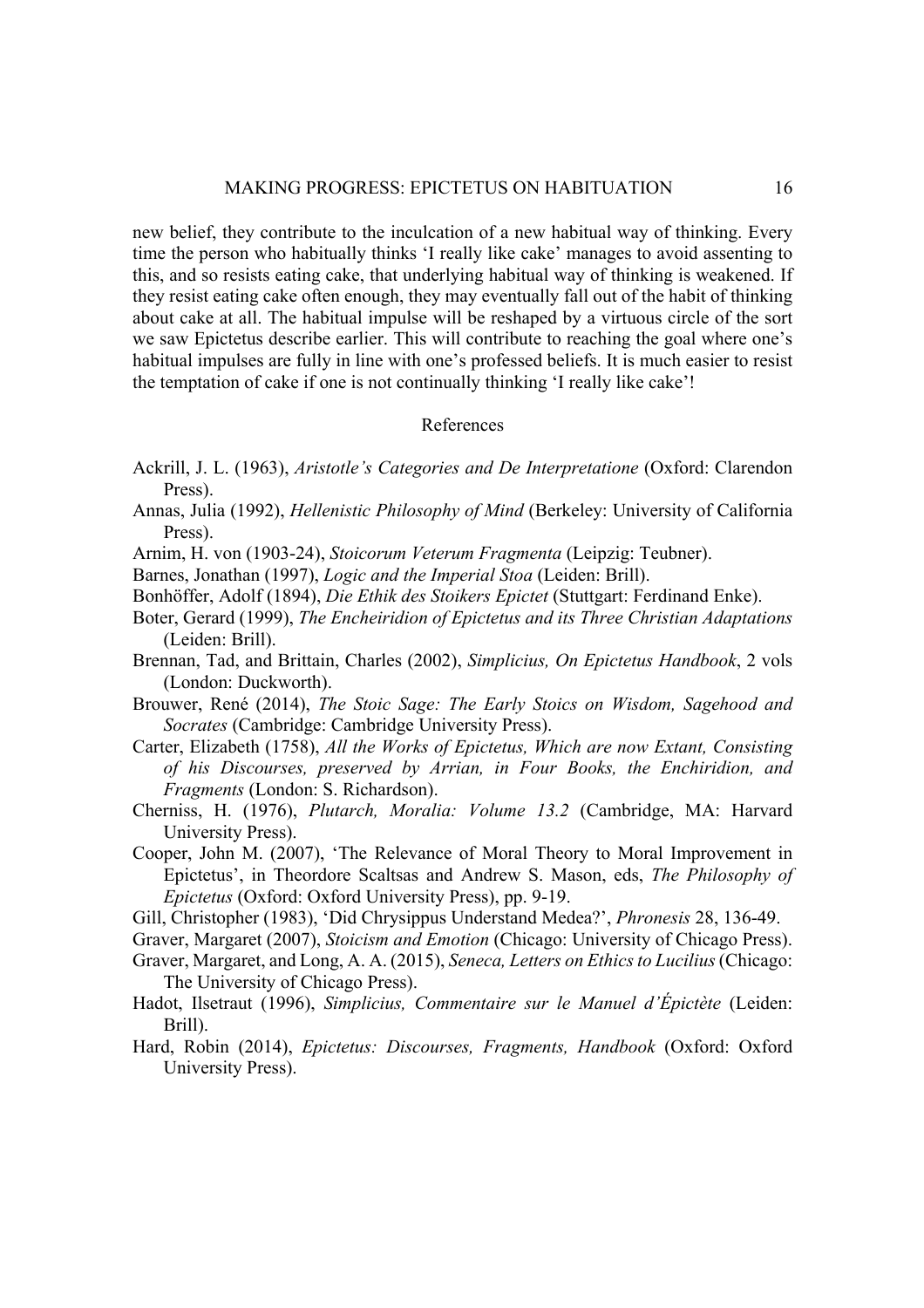new belief, they contribute to the inculcation of a new habitual way of thinking. Every time the person who habitually thinks 'I really like cake' manages to avoid assenting to this, and so resists eating cake, that underlying habitual way of thinking is weakened. If they resist eating cake often enough, they may eventually fall out of the habit of thinking about cake at all. The habitual impulse will be reshaped by a virtuous circle of the sort we saw Epictetus describe earlier. This will contribute to reaching the goal where one's habitual impulses are fully in line with one's professed beliefs. It is much easier to resist the temptation of cake if one is not continually thinking 'I really like cake'!

# References

- Ackrill, J. L. (1963), *Aristotle's Categories and De Interpretatione* (Oxford: Clarendon Press).
- Annas, Julia (1992), *Hellenistic Philosophy of Mind* (Berkeley: University of California Press).
- Arnim, H. von (1903-24), *Stoicorum Veterum Fragmenta* (Leipzig: Teubner).
- Barnes, Jonathan (1997), *Logic and the Imperial Stoa* (Leiden: Brill).
- Bonhöffer, Adolf (1894), *Die Ethik des Stoikers Epictet* (Stuttgart: Ferdinand Enke).
- Boter, Gerard (1999), *The Encheiridion of Epictetus and its Three Christian Adaptations* (Leiden: Brill).
- Brennan, Tad, and Brittain, Charles (2002), *Simplicius, On Epictetus Handbook*, 2 vols (London: Duckworth).
- Brouwer, René (2014), *The Stoic Sage: The Early Stoics on Wisdom, Sagehood and Socrates* (Cambridge: Cambridge University Press).
- Carter, Elizabeth (1758), *All the Works of Epictetus, Which are now Extant, Consisting of his Discourses, preserved by Arrian, in Four Books, the Enchiridion, and Fragments* (London: S. Richardson).
- Cherniss, H. (1976), *Plutarch, Moralia: Volume 13.2* (Cambridge, MA: Harvard University Press).
- Cooper, John M. (2007), 'The Relevance of Moral Theory to Moral Improvement in Epictetus', in Theordore Scaltsas and Andrew S. Mason, eds, *The Philosophy of Epictetus* (Oxford: Oxford University Press), pp. 9-19.
- Gill, Christopher (1983), 'Did Chrysippus Understand Medea?', *Phronesis* 28, 136-49.
- Graver, Margaret (2007), *Stoicism and Emotion* (Chicago: University of Chicago Press).
- Graver, Margaret, and Long, A. A. (2015), *Seneca, Letters on Ethics to Lucilius* (Chicago: The University of Chicago Press).
- Hadot, Ilsetraut (1996), *Simplicius, Commentaire sur le Manuel d'Épictète* (Leiden: Brill).
- Hard, Robin (2014), *Epictetus: Discourses, Fragments, Handbook* (Oxford: Oxford University Press).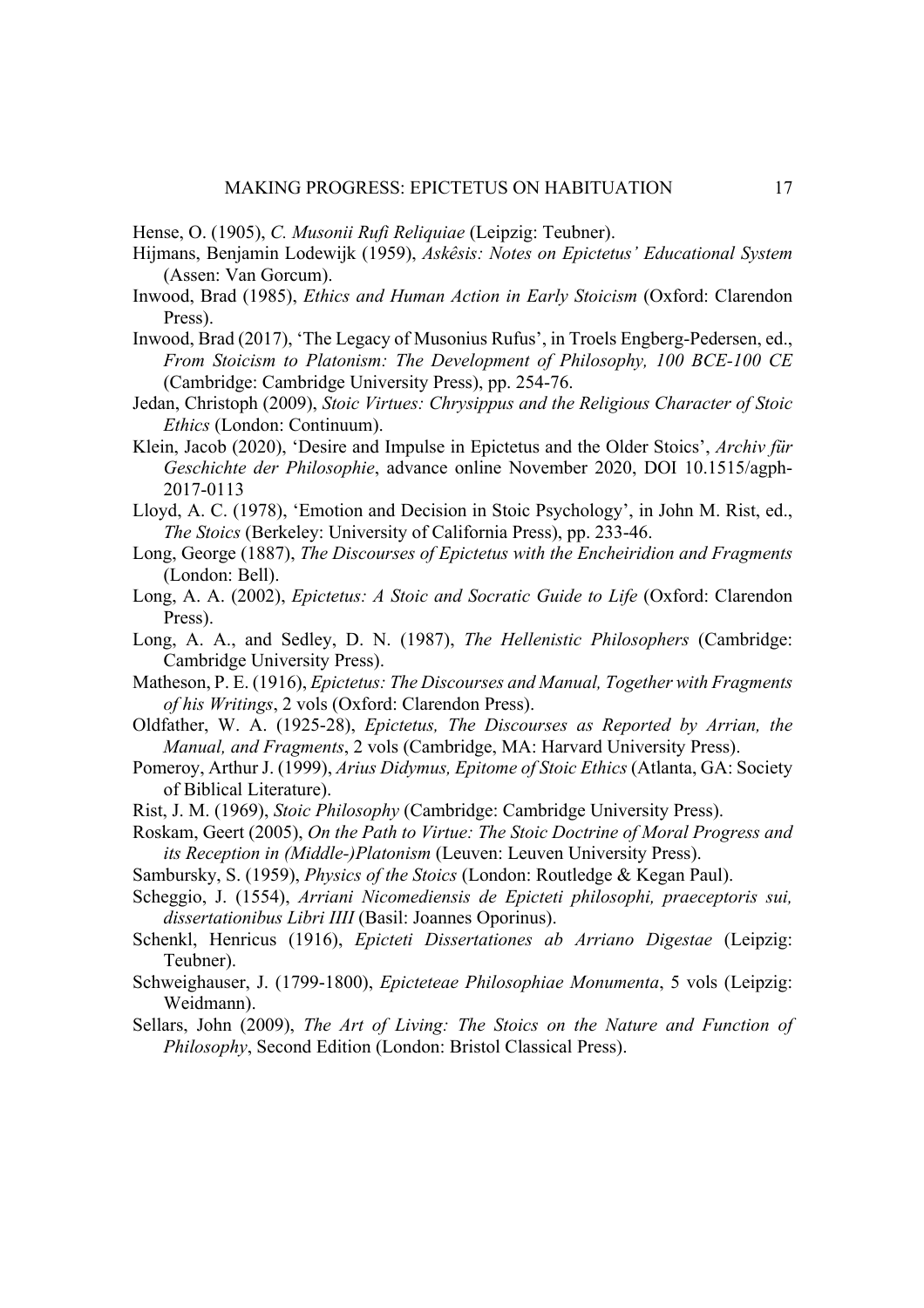Hense, O. (1905), *C. Musonii Rufi Reliquiae* (Leipzig: Teubner).

- Hijmans, Benjamin Lodewijk (1959), *Askêsis: Notes on Epictetus' Educational System* (Assen: Van Gorcum).
- Inwood, Brad (1985), *Ethics and Human Action in Early Stoicism* (Oxford: Clarendon Press).
- Inwood, Brad (2017), 'The Legacy of Musonius Rufus', in Troels Engberg-Pedersen, ed., *From Stoicism to Platonism: The Development of Philosophy, 100 BCE-100 CE* (Cambridge: Cambridge University Press), pp. 254-76.
- Jedan, Christoph (2009), *Stoic Virtues: Chrysippus and the Religious Character of Stoic Ethics* (London: Continuum).
- Klein, Jacob (2020), 'Desire and Impulse in Epictetus and the Older Stoics', *Archiv für Geschichte der Philosophie*, advance online November 2020, DOI 10.1515/agph-2017-0113
- Lloyd, A. C. (1978), 'Emotion and Decision in Stoic Psychology', in John M. Rist, ed., *The Stoics* (Berkeley: University of California Press), pp. 233-46.
- Long, George (1887), *The Discourses of Epictetus with the Encheiridion and Fragments* (London: Bell).
- Long, A. A. (2002), *Epictetus: A Stoic and Socratic Guide to Life* (Oxford: Clarendon Press).
- Long, A. A., and Sedley, D. N. (1987), *The Hellenistic Philosophers* (Cambridge: Cambridge University Press).
- Matheson, P. E. (1916), *Epictetus: The Discourses and Manual, Together with Fragments of his Writings*, 2 vols (Oxford: Clarendon Press).
- Oldfather, W. A. (1925-28), *Epictetus, The Discourses as Reported by Arrian, the Manual, and Fragments*, 2 vols (Cambridge, MA: Harvard University Press).
- Pomeroy, Arthur J. (1999), *Arius Didymus, Epitome of Stoic Ethics* (Atlanta, GA: Society of Biblical Literature).
- Rist, J. M. (1969), *Stoic Philosophy* (Cambridge: Cambridge University Press).
- Roskam, Geert (2005), *On the Path to Virtue: The Stoic Doctrine of Moral Progress and its Reception in (Middle-)Platonism* (Leuven: Leuven University Press).
- Sambursky, S. (1959), *Physics of the Stoics* (London: Routledge & Kegan Paul).
- Scheggio, J. (1554), *Arriani Nicomediensis de Epicteti philosophi, praeceptoris sui, dissertationibus Libri IIII* (Basil: Joannes Oporinus).
- Schenkl, Henricus (1916), *Epicteti Dissertationes ab Arriano Digestae* (Leipzig: Teubner).
- Schweighauser, J. (1799-1800), *Epicteteae Philosophiae Monumenta*, 5 vols (Leipzig: Weidmann).
- Sellars, John (2009), *The Art of Living: The Stoics on the Nature and Function of Philosophy*, Second Edition (London: Bristol Classical Press).